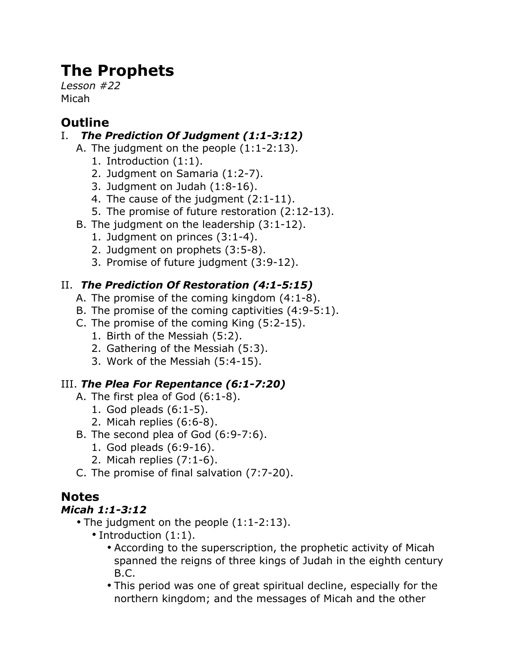# **The Prophets**

*Lesson #22* Micah

# **Outline**

### I. *The Prediction Of Judgment (1:1-3:12)*

- A. The judgment on the people (1:1-2:13).
	- 1. Introduction (1:1).
	- 2. Judgment on Samaria (1:2-7).
	- 3. Judgment on Judah (1:8-16).
	- 4. The cause of the judgment (2:1-11).
	- 5. The promise of future restoration (2:12-13).
- B. The judgment on the leadership (3:1-12).
	- 1. Judgment on princes (3:1-4).
	- 2. Judgment on prophets (3:5-8).
	- 3. Promise of future judgment (3:9-12).

## II. *The Prediction Of Restoration (4:1-5:15)*

- A. The promise of the coming kingdom (4:1-8).
- B. The promise of the coming captivities (4:9-5:1).
- C. The promise of the coming King (5:2-15).
	- 1. Birth of the Messiah (5:2).
	- 2. Gathering of the Messiah (5:3).
	- 3. Work of the Messiah (5:4-15).

#### III. *The Plea For Repentance (6:1-7:20)*

- A. The first plea of God (6:1-8).
	- 1. God pleads (6:1-5).
	- 2. Micah replies (6:6-8).
- B. The second plea of God (6:9-7:6).
	- 1. God pleads (6:9-16).
	- 2. Micah replies (7:1-6).
- C. The promise of final salvation (7:7-20).

## **Notes**

#### *Micah 1:1-3:12*

- The judgment on the people (1:1-2:13).
	- Introduction (1:1).
		- According to the superscription, the prophetic activity of Micah spanned the reigns of three kings of Judah in the eighth century B.C.
		- This period was one of great spiritual decline, especially for the northern kingdom; and the messages of Micah and the other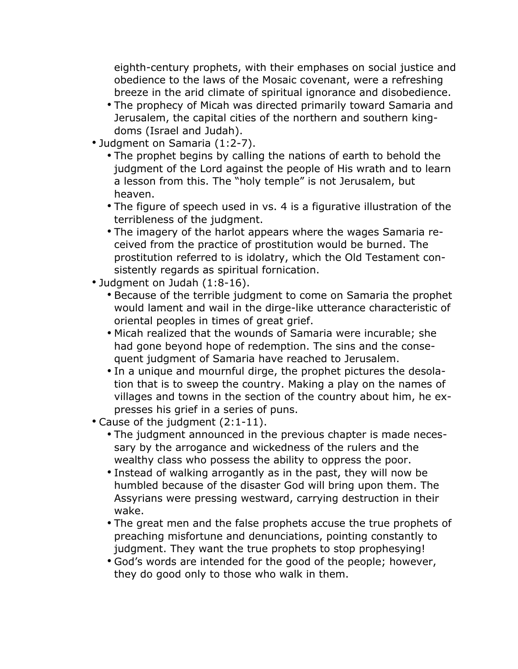eighth-century prophets, with their emphases on social justice and obedience to the laws of the Mosaic covenant, were a refreshing breeze in the arid climate of spiritual ignorance and disobedience.

- The prophecy of Micah was directed primarily toward Samaria and Jerusalem, the capital cities of the northern and southern kingdoms (Israel and Judah).
- Judgment on Samaria (1:2-7).
	- The prophet begins by calling the nations of earth to behold the judgment of the Lord against the people of His wrath and to learn a lesson from this. The "holy temple" is not Jerusalem, but heaven.
	- The figure of speech used in vs. 4 is a figurative illustration of the terribleness of the judgment.
	- The imagery of the harlot appears where the wages Samaria received from the practice of prostitution would be burned. The prostitution referred to is idolatry, which the Old Testament consistently regards as spiritual fornication.
- Judgment on Judah (1:8-16).
	- Because of the terrible judgment to come on Samaria the prophet would lament and wail in the dirge-like utterance characteristic of oriental peoples in times of great grief.
	- Micah realized that the wounds of Samaria were incurable; she had gone beyond hope of redemption. The sins and the consequent judgment of Samaria have reached to Jerusalem.
	- In a unique and mournful dirge, the prophet pictures the desolation that is to sweep the country. Making a play on the names of villages and towns in the section of the country about him, he expresses his grief in a series of puns.
- Cause of the judgment (2:1-11).
	- The judgment announced in the previous chapter is made necessary by the arrogance and wickedness of the rulers and the wealthy class who possess the ability to oppress the poor.
	- Instead of walking arrogantly as in the past, they will now be humbled because of the disaster God will bring upon them. The Assyrians were pressing westward, carrying destruction in their wake.
	- The great men and the false prophets accuse the true prophets of preaching misfortune and denunciations, pointing constantly to judgment. They want the true prophets to stop prophesying!
	- God's words are intended for the good of the people; however, they do good only to those who walk in them.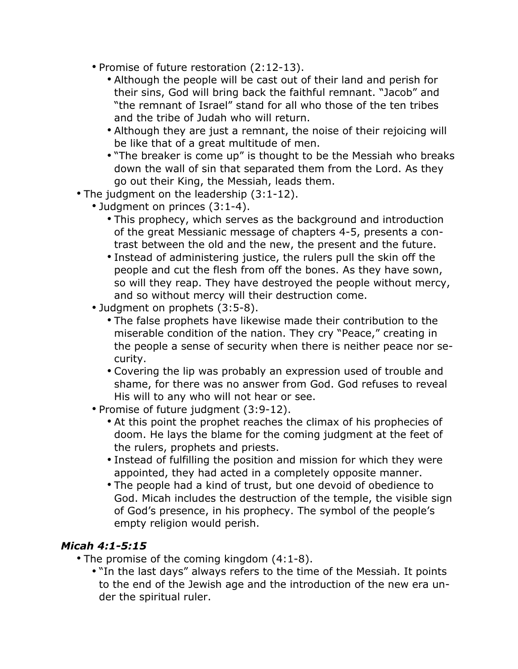- Promise of future restoration (2:12-13).
	- Although the people will be cast out of their land and perish for their sins, God will bring back the faithful remnant. "Jacob" and "the remnant of Israel" stand for all who those of the ten tribes and the tribe of Judah who will return.
	- Although they are just a remnant, the noise of their rejoicing will be like that of a great multitude of men.
	- "The breaker is come up" is thought to be the Messiah who breaks down the wall of sin that separated them from the Lord. As they go out their King, the Messiah, leads them.
- The judgment on the leadership (3:1-12).
	- Judgment on princes (3:1-4).
		- This prophecy, which serves as the background and introduction of the great Messianic message of chapters 4-5, presents a contrast between the old and the new, the present and the future.
		- Instead of administering justice, the rulers pull the skin off the people and cut the flesh from off the bones. As they have sown, so will they reap. They have destroyed the people without mercy, and so without mercy will their destruction come.
	- Judgment on prophets (3:5-8).
		- The false prophets have likewise made their contribution to the miserable condition of the nation. They cry "Peace," creating in the people a sense of security when there is neither peace nor security.
		- Covering the lip was probably an expression used of trouble and shame, for there was no answer from God. God refuses to reveal His will to any who will not hear or see.
	- Promise of future judgment (3:9-12).
		- At this point the prophet reaches the climax of his prophecies of doom. He lays the blame for the coming judgment at the feet of the rulers, prophets and priests.
		- Instead of fulfilling the position and mission for which they were appointed, they had acted in a completely opposite manner.
		- The people had a kind of trust, but one devoid of obedience to God. Micah includes the destruction of the temple, the visible sign of God's presence, in his prophecy. The symbol of the people's empty religion would perish.

#### *Micah 4:1-5:15*

- The promise of the coming kingdom (4:1-8).
	- "In the last days" always refers to the time of the Messiah. It points to the end of the Jewish age and the introduction of the new era under the spiritual ruler.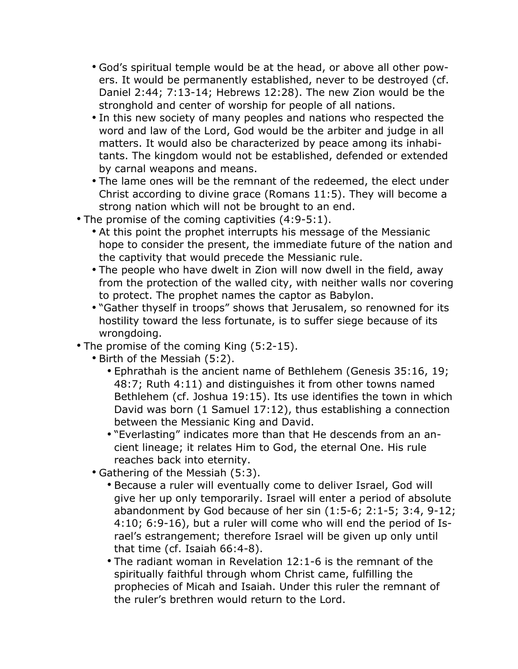- God's spiritual temple would be at the head, or above all other powers. It would be permanently established, never to be destroyed (cf. Daniel 2:44; 7:13-14; Hebrews 12:28). The new Zion would be the stronghold and center of worship for people of all nations.
- In this new society of many peoples and nations who respected the word and law of the Lord, God would be the arbiter and judge in all matters. It would also be characterized by peace among its inhabitants. The kingdom would not be established, defended or extended by carnal weapons and means.
- The lame ones will be the remnant of the redeemed, the elect under Christ according to divine grace (Romans 11:5). They will become a strong nation which will not be brought to an end.
- The promise of the coming captivities (4:9-5:1).
	- At this point the prophet interrupts his message of the Messianic hope to consider the present, the immediate future of the nation and the captivity that would precede the Messianic rule.
	- The people who have dwelt in Zion will now dwell in the field, away from the protection of the walled city, with neither walls nor covering to protect. The prophet names the captor as Babylon.
	- "Gather thyself in troops" shows that Jerusalem, so renowned for its hostility toward the less fortunate, is to suffer siege because of its wrongdoing.
- The promise of the coming King (5:2-15).
	- Birth of the Messiah (5:2).
		- Ephrathah is the ancient name of Bethlehem (Genesis 35:16, 19; 48:7; Ruth 4:11) and distinguishes it from other towns named Bethlehem (cf. Joshua 19:15). Its use identifies the town in which David was born (1 Samuel 17:12), thus establishing a connection between the Messianic King and David.
		- "Everlasting" indicates more than that He descends from an ancient lineage; it relates Him to God, the eternal One. His rule reaches back into eternity.
	- Gathering of the Messiah (5:3).
		- Because a ruler will eventually come to deliver Israel, God will give her up only temporarily. Israel will enter a period of absolute abandonment by God because of her sin (1:5-6; 2:1-5; 3:4, 9-12; 4:10; 6:9-16), but a ruler will come who will end the period of Israel's estrangement; therefore Israel will be given up only until that time (cf. Isaiah 66:4-8).
		- The radiant woman in Revelation 12:1-6 is the remnant of the spiritually faithful through whom Christ came, fulfilling the prophecies of Micah and Isaiah. Under this ruler the remnant of the ruler's brethren would return to the Lord.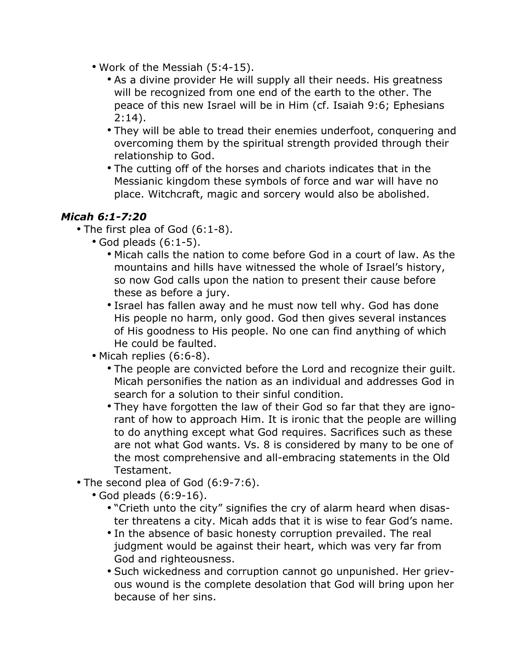- Work of the Messiah (5:4-15).
	- As a divine provider He will supply all their needs. His greatness will be recognized from one end of the earth to the other. The peace of this new Israel will be in Him (cf. Isaiah 9:6; Ephesians  $2:14$ ).
	- They will be able to tread their enemies underfoot, conquering and overcoming them by the spiritual strength provided through their relationship to God.
	- The cutting off of the horses and chariots indicates that in the Messianic kingdom these symbols of force and war will have no place. Witchcraft, magic and sorcery would also be abolished.

#### *Micah 6:1-7:20*

- The first plea of God (6:1-8).
	- God pleads (6:1-5).
		- Micah calls the nation to come before God in a court of law. As the mountains and hills have witnessed the whole of Israel's history, so now God calls upon the nation to present their cause before these as before a jury.
		- Israel has fallen away and he must now tell why. God has done His people no harm, only good. God then gives several instances of His goodness to His people. No one can find anything of which He could be faulted.
	- Micah replies (6:6-8).
		- The people are convicted before the Lord and recognize their guilt. Micah personifies the nation as an individual and addresses God in search for a solution to their sinful condition.
		- They have forgotten the law of their God so far that they are ignorant of how to approach Him. It is ironic that the people are willing to do anything except what God requires. Sacrifices such as these are not what God wants. Vs. 8 is considered by many to be one of the most comprehensive and all-embracing statements in the Old Testament.
- The second plea of God (6:9-7:6).
	- God pleads (6:9-16).
		- "Crieth unto the city" signifies the cry of alarm heard when disaster threatens a city. Micah adds that it is wise to fear God's name.
		- In the absence of basic honesty corruption prevailed. The real judgment would be against their heart, which was very far from God and righteousness.
		- Such wickedness and corruption cannot go unpunished. Her grievous wound is the complete desolation that God will bring upon her because of her sins.